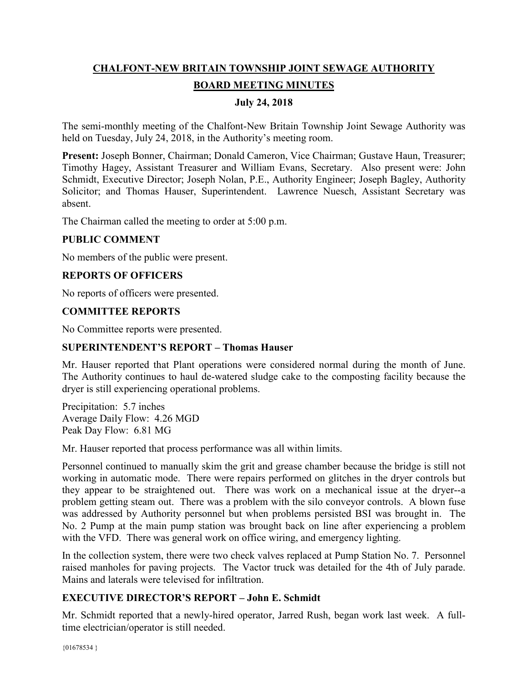# **CHALFONT-NEW BRITAIN TOWNSHIP JOINT SEWAGE AUTHORITY BOARD MEETING MINUTES**

# **July 24, 2018**

The semi-monthly meeting of the Chalfont-New Britain Township Joint Sewage Authority was held on Tuesday, July 24, 2018, in the Authority's meeting room.

**Present:** Joseph Bonner, Chairman; Donald Cameron, Vice Chairman; Gustave Haun, Treasurer; Timothy Hagey, Assistant Treasurer and William Evans, Secretary. Also present were: John Schmidt, Executive Director; Joseph Nolan, P.E., Authority Engineer; Joseph Bagley, Authority Solicitor; and Thomas Hauser, Superintendent. Lawrence Nuesch, Assistant Secretary was absent.

The Chairman called the meeting to order at 5:00 p.m.

## **PUBLIC COMMENT**

No members of the public were present.

## **REPORTS OF OFFICERS**

No reports of officers were presented.

#### **COMMITTEE REPORTS**

No Committee reports were presented.

#### **SUPERINTENDENT'S REPORT – Thomas Hauser**

Mr. Hauser reported that Plant operations were considered normal during the month of June. The Authority continues to haul de-watered sludge cake to the composting facility because the dryer is still experiencing operational problems.

Precipitation: 5.7 inches Average Daily Flow: 4.26 MGD Peak Day Flow: 6.81 MG

Mr. Hauser reported that process performance was all within limits.

Personnel continued to manually skim the grit and grease chamber because the bridge is still not working in automatic mode. There were repairs performed on glitches in the dryer controls but they appear to be straightened out. There was work on a mechanical issue at the dryer--a problem getting steam out. There was a problem with the silo conveyor controls. A blown fuse was addressed by Authority personnel but when problems persisted BSI was brought in. The No. 2 Pump at the main pump station was brought back on line after experiencing a problem with the VFD. There was general work on office wiring, and emergency lighting.

In the collection system, there were two check valves replaced at Pump Station No. 7. Personnel raised manholes for paving projects. The Vactor truck was detailed for the 4th of July parade. Mains and laterals were televised for infiltration.

# **EXECUTIVE DIRECTOR'S REPORT – John E. Schmidt**

Mr. Schmidt reported that a newly-hired operator, Jarred Rush, began work last week. A fulltime electrician/operator is still needed.